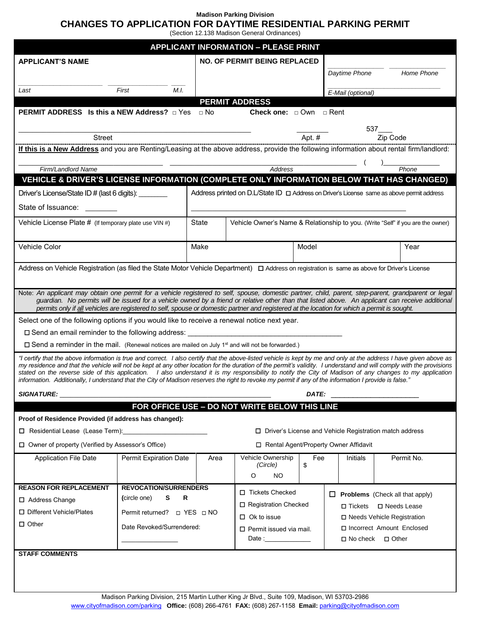#### **Madison Parking Division CHANGES TO APPLICATION FOR DAYTIME RESIDENTIAL PARKING PERMIT**

(Section 12.138 Madison General Ordinances)

| <b>APPLICANT INFORMATION - PLEASE PRINT</b>                                                                                                                                                                                                                                                                                                                                                                                                                                                                                                                                                                                                                       |                                  |                                                                                 |                                                 |                                   |                |                                        |                                                             |            |  |
|-------------------------------------------------------------------------------------------------------------------------------------------------------------------------------------------------------------------------------------------------------------------------------------------------------------------------------------------------------------------------------------------------------------------------------------------------------------------------------------------------------------------------------------------------------------------------------------------------------------------------------------------------------------------|----------------------------------|---------------------------------------------------------------------------------|-------------------------------------------------|-----------------------------------|----------------|----------------------------------------|-------------------------------------------------------------|------------|--|
| <b>APPLICANT'S NAME</b>                                                                                                                                                                                                                                                                                                                                                                                                                                                                                                                                                                                                                                           |                                  | <b>NO. OF PERMIT BEING REPLACED</b>                                             |                                                 |                                   |                |                                        |                                                             |            |  |
|                                                                                                                                                                                                                                                                                                                                                                                                                                                                                                                                                                                                                                                                   |                                  |                                                                                 |                                                 |                                   |                | Daytime Phone                          |                                                             | Home Phone |  |
| Last                                                                                                                                                                                                                                                                                                                                                                                                                                                                                                                                                                                                                                                              | M.I.<br>First                    |                                                                                 |                                                 |                                   |                | E-Mail (optional)                      |                                                             |            |  |
|                                                                                                                                                                                                                                                                                                                                                                                                                                                                                                                                                                                                                                                                   |                                  |                                                                                 | <b>PERMIT ADDRESS</b>                           |                                   |                |                                        |                                                             |            |  |
| <b>PERMIT ADDRESS</b> Is this a NEW Address? $\Box$ Yes $\Box$ No<br><b>Check one:</b> $\Box$ Own $\Box$ Rent                                                                                                                                                                                                                                                                                                                                                                                                                                                                                                                                                     |                                  |                                                                                 |                                                 |                                   |                |                                        |                                                             |            |  |
| $537$ <sub>________</sub>                                                                                                                                                                                                                                                                                                                                                                                                                                                                                                                                                                                                                                         |                                  |                                                                                 |                                                 |                                   |                |                                        |                                                             |            |  |
| Zip Code<br>Apt. #<br><b>Street</b>                                                                                                                                                                                                                                                                                                                                                                                                                                                                                                                                                                                                                               |                                  |                                                                                 |                                                 |                                   |                |                                        |                                                             |            |  |
| If this is a New Address and you are Renting/Leasing at the above address, provide the following information about rental firm/landlord:                                                                                                                                                                                                                                                                                                                                                                                                                                                                                                                          |                                  |                                                                                 |                                                 |                                   |                |                                        |                                                             |            |  |
| Firm/Landlord Name                                                                                                                                                                                                                                                                                                                                                                                                                                                                                                                                                                                                                                                |                                  |                                                                                 | Address                                         | Phone                             |                |                                        |                                                             |            |  |
| VEHICLE & DRIVER'S LICENSE INFORMATION (COMPLETE ONLY INFORMATION BELOW THAT HAS CHANGED)                                                                                                                                                                                                                                                                                                                                                                                                                                                                                                                                                                         |                                  |                                                                                 |                                                 |                                   |                |                                        |                                                             |            |  |
| Address printed on $D.L$ State ID $\Box$ Address on Driver's License same as above permit address<br>Driver's License/State ID # (last 6 digits): _________                                                                                                                                                                                                                                                                                                                                                                                                                                                                                                       |                                  |                                                                                 |                                                 |                                   |                |                                        |                                                             |            |  |
| State of Issuance:                                                                                                                                                                                                                                                                                                                                                                                                                                                                                                                                                                                                                                                |                                  |                                                                                 |                                                 |                                   |                |                                        |                                                             |            |  |
| Vehicle License Plate # (If temporary plate use VIN #)                                                                                                                                                                                                                                                                                                                                                                                                                                                                                                                                                                                                            | State                            | Vehicle Owner's Name & Relationship to you. (Write "Self" if you are the owner) |                                                 |                                   |                |                                        |                                                             |            |  |
| Vehicle Color                                                                                                                                                                                                                                                                                                                                                                                                                                                                                                                                                                                                                                                     | Make                             | Model                                                                           |                                                 |                                   |                |                                        | Year                                                        |            |  |
|                                                                                                                                                                                                                                                                                                                                                                                                                                                                                                                                                                                                                                                                   |                                  |                                                                                 |                                                 |                                   |                |                                        |                                                             |            |  |
| Address on Vehicle Registration (as filed the State Motor Vehicle Department) $\Box$ Address on registration is same as above for Driver's License                                                                                                                                                                                                                                                                                                                                                                                                                                                                                                                |                                  |                                                                                 |                                                 |                                   |                |                                        |                                                             |            |  |
| Note: An applicant may obtain one permit for a vehicle registered to self, spouse, domestic partner, child, parent, step-parent, grandparent or legal                                                                                                                                                                                                                                                                                                                                                                                                                                                                                                             |                                  |                                                                                 |                                                 |                                   |                |                                        |                                                             |            |  |
| guardian. No permits will be issued for a vehicle owned by a friend or relative other than that listed above. An applicant can receive additional<br>permits only if all vehicles are registered to self, spouse or domestic partner and registered at the location for which a permit is sought.                                                                                                                                                                                                                                                                                                                                                                 |                                  |                                                                                 |                                                 |                                   |                |                                        |                                                             |            |  |
| Select one of the following options if you would like to receive a renewal notice next year.                                                                                                                                                                                                                                                                                                                                                                                                                                                                                                                                                                      |                                  |                                                                                 |                                                 |                                   |                |                                        |                                                             |            |  |
| □ Send an email reminder to the following address:<br><u> 1980 - Jan Barbara (j. 1980)</u>                                                                                                                                                                                                                                                                                                                                                                                                                                                                                                                                                                        |                                  |                                                                                 |                                                 |                                   |                |                                        |                                                             |            |  |
| $\Box$ Send a reminder in the mail. (Renewal notices are mailed on July 1 <sup>st</sup> and will not be forwarded.)                                                                                                                                                                                                                                                                                                                                                                                                                                                                                                                                               |                                  |                                                                                 |                                                 |                                   |                |                                        |                                                             |            |  |
| "I certify that the above information is true and correct. I also certify that the above-listed vehicle is kept by me and only at the address I have given above as<br>my residence and that the vehicle will not be kept at any other location for the duration of the permit's validity. I understand and will comply with the provisions<br>stated on the reverse side of this application. I also understand it is my responsibility to notify the City of Madison of any changes to my application<br>information. Additionally, I understand that the City of Madison reserves the right to revoke my permit if any of the information I provide is false." |                                  |                                                                                 |                                                 |                                   |                |                                        |                                                             |            |  |
| <b>SIGNATURE:</b>                                                                                                                                                                                                                                                                                                                                                                                                                                                                                                                                                                                                                                                 |                                  |                                                                                 | DATE:                                           |                                   |                |                                        |                                                             |            |  |
| FOR OFFICE USE - DO NOT WRITE BELOW THIS LINE                                                                                                                                                                                                                                                                                                                                                                                                                                                                                                                                                                                                                     |                                  |                                                                                 |                                                 |                                   |                |                                        |                                                             |            |  |
| Proof of Residence Provided (if address has changed):                                                                                                                                                                                                                                                                                                                                                                                                                                                                                                                                                                                                             |                                  |                                                                                 |                                                 |                                   |                |                                        |                                                             |            |  |
|                                                                                                                                                                                                                                                                                                                                                                                                                                                                                                                                                                                                                                                                   |                                  | □ Driver's License and Vehicle Registration match address                       |                                                 |                                   |                |                                        |                                                             |            |  |
| □ Owner of property (Verified by Assessor's Office)                                                                                                                                                                                                                                                                                                                                                                                                                                                                                                                                                                                                               |                                  | □ Rental Agent/Property Owner Affidavit                                         |                                                 |                                   |                |                                        |                                                             |            |  |
| <b>Application File Date</b>                                                                                                                                                                                                                                                                                                                                                                                                                                                                                                                                                                                                                                      | <b>Permit Expiration Date</b>    | Area                                                                            | Vehicle Ownership<br>(Circle)<br>O<br><b>NO</b> | Fee<br>\$                         |                | Initials                               |                                                             | Permit No. |  |
| <b>REASON FOR REPLACEMENT</b>                                                                                                                                                                                                                                                                                                                                                                                                                                                                                                                                                                                                                                     | <b>REVOCATION/SURRENDERS</b>     |                                                                                 |                                                 |                                   |                |                                        |                                                             |            |  |
| □ Address Change                                                                                                                                                                                                                                                                                                                                                                                                                                                                                                                                                                                                                                                  | s<br>$\mathsf R$<br>(circle one) |                                                                                 |                                                 | □ Tickets Checked                 |                | $\Box$ Problems (Check all that apply) |                                                             |            |  |
| □ Different Vehicle/Plates                                                                                                                                                                                                                                                                                                                                                                                                                                                                                                                                                                                                                                        | Permit returned? □ YES □ NO      | □ Registration Checked                                                          |                                                 |                                   | $\Box$ Tickets | □ Needs Lease                          |                                                             |            |  |
| $\Box$ Other                                                                                                                                                                                                                                                                                                                                                                                                                                                                                                                                                                                                                                                      | Date Revoked/Surrendered:        |                                                                                 |                                                 | $\Box$ Ok to issue                |                |                                        | □ Needs Vehicle Registration<br>□ Incorrect Amount Enclosed |            |  |
|                                                                                                                                                                                                                                                                                                                                                                                                                                                                                                                                                                                                                                                                   |                                  |                                                                                 |                                                 | $\square$ Permit issued via mail. |                | $\square$ No check<br>$\Box$ Other     |                                                             |            |  |
| <b>STAFF COMMENTS</b>                                                                                                                                                                                                                                                                                                                                                                                                                                                                                                                                                                                                                                             |                                  |                                                                                 |                                                 |                                   |                |                                        |                                                             |            |  |
|                                                                                                                                                                                                                                                                                                                                                                                                                                                                                                                                                                                                                                                                   |                                  |                                                                                 |                                                 |                                   |                |                                        |                                                             |            |  |
|                                                                                                                                                                                                                                                                                                                                                                                                                                                                                                                                                                                                                                                                   |                                  |                                                                                 |                                                 |                                   |                |                                        |                                                             |            |  |